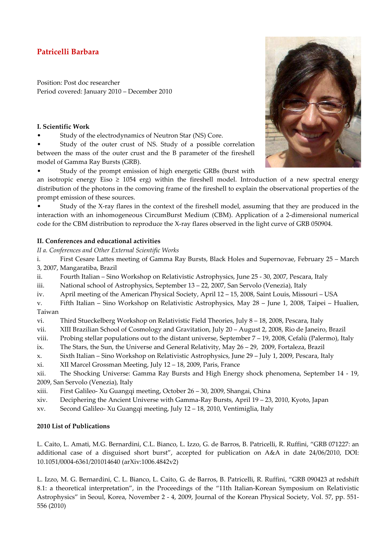## **Patricelli Barbara**

Position: Post doc researcher Period covered: January 2010 – December 2010

## **I. Scientific Work**

Study of the electrodynamics of Neutron Star (NS) Core.

• Study of the outer crust of NS. Study of a possible correlation between the mass of the outer crust and the B parameter of the fireshell model of Gamma Ray Bursts (GRB).

• Study of the prompt emission of high energetic GRBs (burst with



• Study of the X-ray flares in the context of the fireshell model, assuming that they are produced in the interaction with an inhomogeneous CircumBurst Medium (CBM). Application of a 2-dimensional numerical code for the CBM distribution to reproduce the X-ray flares observed in the light curve of GRB 050904.

## **II. Conferences and educational activities**

*II a. Conferences and Other External Scientific Works* 

i. First Cesare Lattes meeting of Gamma Ray Bursts, Black Holes and Supernovae, February 25 – March 3, 2007, Mangaratiba, Brazil

ii. Fourth Italian – Sino Workshop on Relativistic Astrophysics, June 25 - 30, 2007, Pescara, Italy

iii. National school of Astrophysics, September 13 – 22, 2007, San Servolo (Venezia), Italy

iv. April meeting of the American Physical Society, April 12 – 15, 2008, Saint Louis, Missouri – USA

v. Fifth Italian – Sino Workshop on Relativistic Astrophysics, May 28 – June 1, 2008, Taipei – Hualien, Taiwan

vi. Third Stueckelberg Workshop on Relativistic Field Theories, July 8 – 18, 2008, Pescara, Italy

- vii. XIII Brazilian School of Cosmology and Gravitation, July 20 August 2, 2008, Rio de Janeiro, Brazil
- viii. Probing stellar populations out to the distant universe, September 7 19, 2008, Cefalù (Palermo), Italy
- ix. The Stars, the Sun, the Universe and General Relativity, May 26 29, 2009, Fortaleza, Brazil
- x. Sixth Italian Sino Workshop on Relativistic Astrophysics, June 29 July 1, 2009, Pescara, Italy
- xi. XII Marcel Grossman Meeting, July 12 18, 2009, Paris, France

xii. The Shocking Universe: Gamma Ray Bursts and High Energy shock phenomena, September 14 - 19, 2009, San Servolo (Venezia), Italy

- xiii. First Galileo- Xu Guangqi meeting, October 26 30, 2009, Shangai, China
- xiv. Deciphering the Ancient Universe with Gamma-Ray Bursts, April 19 23, 2010, Kyoto, Japan
- xv. Second Galileo- Xu Guangqi meeting, July 12 18, 2010, Ventimiglia, Italy

## **2010 List of Publications**

L. Caito, L. Amati, M.G. Bernardini, C.L. Bianco, L. Izzo, G. de Barros, B. Patricelli, R. Ruffini, "GRB 071227: an additional case of a disguised short burst", accepted for publication on A&A in date 24/06/2010, DOI: 10.1051/0004-6361/201014640 (arXiv:1006.4842v2)

L. Izzo, M. G. Bernardini, C. L. Bianco, L. Caito, G. de Barros, B. Patricelli, R. Ruffini, "GRB 090423 at redshift 8.1: a theoretical interpretation", in the Proceedings of the "11th Italian-Korean Symposium on Relativistic Astrophysics" in Seoul, Korea, November 2 - 4, 2009, Journal of the Korean Physical Society, Vol. 57, pp. 551- 556 (2010)